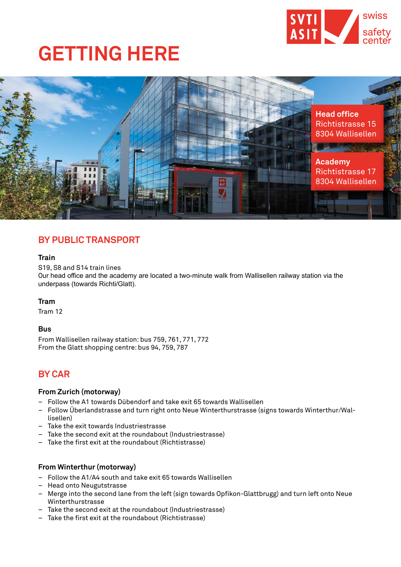

## **GETTING HERE**



## **BY PUBLIC TRANSPORT**

#### **Train**

S19, S8 and S14 train lines Our head office and the academy are located a two-minute walk from Wallisellen railway station via the underpass (towards Richti/Glatt).

#### **Tram**

Tram 12

#### **Bus**

From Wallisellen railway station: bus 759, 761, 771, 772 From the Glatt shopping centre: bus 94, 759, 787

### **BY CAR**

#### **From Zurich (motorway)**

- Follow the A1 towards Dübendorf and take exit 65 towards Wallisellen
- Follow Überlandstrasse and turn right onto Neue Winterthurstrasse (signs towards Winterthur/Wallisellen)
- Take the exit towards Industriestrasse
- Take the second exit at the roundabout (Industriestrasse)
- Take the first exit at the roundabout (Richtistrasse)

#### **From Winterthur (motorway)**

- Follow the A1/A4 south and take exit 65 towards Wallisellen
- Head onto Neugutstrasse
- Merge into the second lane from the left (sign towards Opfikon-Glattbrugg) and turn left onto Neue Winterthurstrasse
- Take the second exit at the roundabout (Industriestrasse)
- Take the first exit at the roundabout (Richtistrasse)